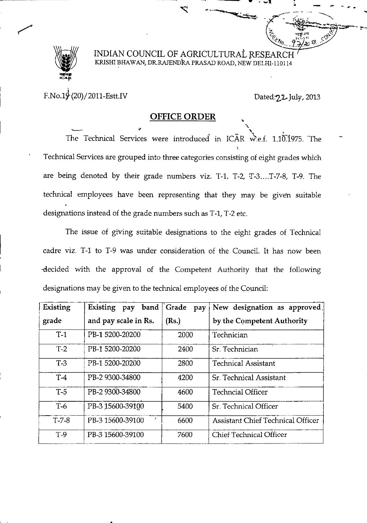

~.~.-----

## INDIAN COUNCIL OF AGRICULTURAL RESEA KRIsm BHAWAN:, DR.RAJENDRA PRASAD ROAD, NEW DELHI-l 101 14

 $F.No.19(20)/2011-Estt.IV$ 

Dated: 22. July, 2013

i.,

 $=$   $\sqrt{2\pi}$ 

 $\mathcal{O}_1$   $\mathcal{O}_2$   $\mathcal{O}_3$ *Ivo<sub>··</sub>* 9.7/10 13

 $~\sim$   $~\sim$   $~\sim$   $~\sim$ 

"

I. \_ \_ <sup>r</sup> ..

 $\frac{1}{2}$   $\frac{1}{2}$   $\frac{1}{2}$   $\frac{1}{2}$   $\frac{1}{2}$   $\frac{1}{2}$   $\frac{1}{2}$   $\frac{1}{2}$   $\frac{1}{2}$   $\frac{1}{2}$   $\frac{1}{2}$   $\frac{1}{2}$   $\frac{1}{2}$   $\frac{1}{2}$   $\frac{1}{2}$   $\frac{1}{2}$   $\frac{1}{2}$   $\frac{1}{2}$   $\frac{1}{2}$   $\frac{1}{2}$   $\frac{1}{2}$   $\frac{1}{2$  $\sim$   $\sim$ 

## OFFICE ORDER

OFFICE ORDER<br>The Technical Services were introduced in ICAR w.e.f. 1.10.1975. The Technical Services are grouped into three categories consisting of eight grades which are being denoted by their grade numbers viz. T-1, T-2,  $T-3$ ....T-7-8, T-9. The technical employees have been representing that they may be given suitable designations instead of the grade numbers such as T-l, T-2 etc.

The issue of giving suitable designations to the eight grades of Technical cadre viz. T-1 to T-9 was under consideration of the Council. It has now been -decided with the approval of the Competent Authority that the following designations may be given to the technical employees of the Council:

| Existing | Existing pay band     | Grade<br>pay | New designation as approved,             |
|----------|-----------------------|--------------|------------------------------------------|
| grade    | and pay scale in Rs.  | (Rs.)        | by the Competent Authority               |
| $T-1$    | PB-1 5200-20200       | 2000         | Technician                               |
| $T-2$    | PB-1 5200-20200       | 2400         | Sr. Technician                           |
| $T-3$    | PB-1 5200-20200       | 2800         | <b>Technical Assistant</b>               |
| $T-4$    | PB-2 9300-34800       | 4200         | Sr. Technical Assistant                  |
| $T-5$    | PB-2 9300-34800       | 4600         | <b>Techncial Officer</b>                 |
| $T-6$    | PB-3 15600-39100      | 5400         | Sr. Technical Officer                    |
| $T-7-8$  | ×<br>PB-3 15600-39100 | 6600         | <b>Assistant Chief Technical Officer</b> |
| $T-9$    | PB-3 15600-39100      | 7600         | <b>Chief Technical Officer</b>           |

.<br>. <u>. . . . . . . . .</u>